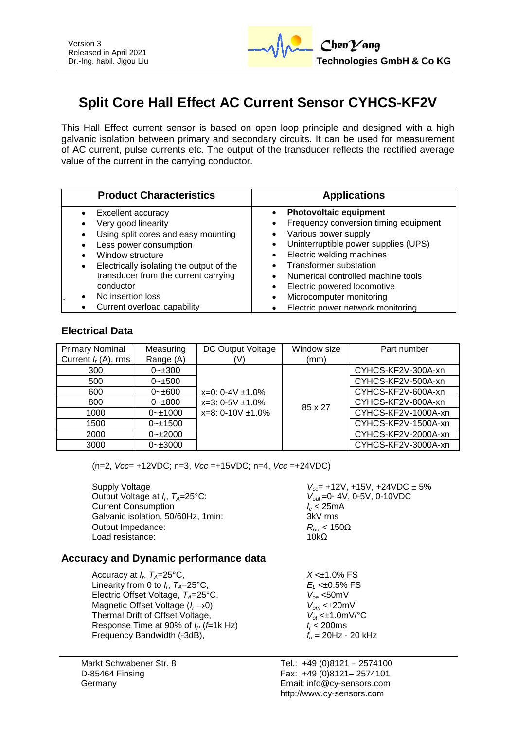

# **Split Core Hall Effect AC Current Sensor CYHCS-KF2V**

This Hall Effect current sensor is based on open loop principle and designed with a high galvanic isolation between primary and secondary circuits. It can be used for measurement of AC current, pulse currents etc. The output of the transducer reflects the rectified average value of the current in the carrying conductor.

| <b>Product Characteristics</b>                                                                                                                                                                                                                                    | <b>Applications</b>                                                                                                                                                                                                                                                                                                                          |
|-------------------------------------------------------------------------------------------------------------------------------------------------------------------------------------------------------------------------------------------------------------------|----------------------------------------------------------------------------------------------------------------------------------------------------------------------------------------------------------------------------------------------------------------------------------------------------------------------------------------------|
| Excellent accuracy<br>Very good linearity<br>Using split cores and easy mounting<br>Less power consumption<br>Window structure<br>Electrically isolating the output of the<br>$\bullet$<br>transducer from the current carrying<br>conductor<br>No insertion loss | <b>Photovoltaic equipment</b><br>Frequency conversion timing equipment<br>Various power supply<br>Uninterruptible power supplies (UPS)<br>$\bullet$<br>Electric welding machines<br>$\bullet$<br><b>Transformer substation</b><br>Numerical controlled machine tools<br>Electric powered locomotive<br>Microcomputer monitoring<br>$\bullet$ |
| Current overload capability                                                                                                                                                                                                                                       | Electric power network monitoring                                                                                                                                                                                                                                                                                                            |

#### **Electrical Data**

| <b>Primary Nominal</b> | Measuring     | DC Output Voltage                                                        | Window size | Part number         |
|------------------------|---------------|--------------------------------------------------------------------------|-------------|---------------------|
| Current $I_r(A)$ , rms | Range (A)     |                                                                          | (mm)        |                     |
| 300                    | $0 - 300$     |                                                                          |             | CYHCS-KF2V-300A-xn  |
| 500                    | $0 - \pm 500$ | $x=0$ : 0-4V $\pm$ 1.0%<br>$x=3:0-5V \pm 1.0\%$<br>$x=8:0-10V \pm 1.0\%$ |             | CYHCS-KF2V-500A-xn  |
| 600                    | $0 - \pm 600$ |                                                                          | 85 x 27     | CYHCS-KF2V-600A-xn  |
| 800                    | $0 - \pm 800$ |                                                                          |             | CYHCS-KF2V-800A-xn  |
| 1000                   | $0 - 1000$    |                                                                          |             | CYHCS-KF2V-1000A-xn |
| 1500                   | $0 - 1500$    |                                                                          |             | CYHCS-KF2V-1500A-xn |
| 2000                   | $0 - 12000$   |                                                                          |             | CYHCS-KF2V-2000A-xn |
| 3000                   | $0 - 3000$    |                                                                          |             | CYHCS-KF2V-3000A-xn |

(n=2, *Vcc*= +12VDC; n=3, *Vcc* =+15VDC; n=4, *Vcc* =+24VDC)

Supply Voltage *V<sub>cc</sub>* +12V, +15V, +24VDC  $\pm$  5% Output Voltage at *I<sub>p</sub>*  $T_A=25^{\circ}$ C: Current Consumption<br>
Galvanic isolation. 50/60Hz. 1min:<br>
3kV rms Galvanic isolation, 50/60Hz, 1min: Output Impedance:  $R_{\text{out}} < 150\Omega$ <br>
Load resistance:  $10k\Omega$ Load resistance:

*V*<sub>out</sub> = 0-4V, 0-5V, 0-10VDC<br>*I<sub>c</sub>* < 25mA

## **Accuracy and Dynamic performance data**

Accuracy at  $I_r$ ,  $T_A=25^{\circ}$ C, Linearity from 0 to  $I_c$ ,  $T_A = 25^{\circ}$ C, Electric Offset Voltage,  $T_A = 25^{\circ}C$ , Magnetic Offset Voltage ( $I_r \rightarrow 0$ )  $V_{om} < \pm 20$ mV<br>Thermal Drift of Offset Voltage,  $V_{ot} < \pm 1.0$ mV/°C Thermal Drift of Offset Voltage, *V*<sub>ot</sub> <±1.0m<br>Response Time at 90% of *I<sub>p</sub>* (*f*=1k Hz) *t* < 200ms Response Time at 90% of  $I_P$  (*f*=1k Hz)  $t_r$  < 200ms<br>Frequency Bandwidth (-3dB),  $f_b$  = 20Hz - 20 kHz Frequency Bandwidth (-3dB),

Markt Schwabener Str. 8 D-85464 Finsing Germany

 $X \leq \pm 1.0\%$  FS , *TA*=25°C, *E<sup>L</sup>* <±0.5% FS

Tel.: +49 (0)8121 – 2574100 Fax: +49 (0)8121– 2574101 Email: info@cy-sensors.com http://www.cy-sensors.com